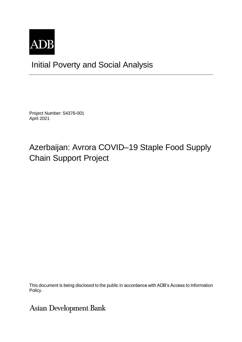

## Initial Poverty and Social Analysis

Project Number: 54376-001 April 2021

# Azerbaijan: Avrora COVID–19 Staple Food Supply Chain Support Project

This document is being disclosed to the public in accordance with ADB's Access to Information Policy.

## **Asian Development Bank**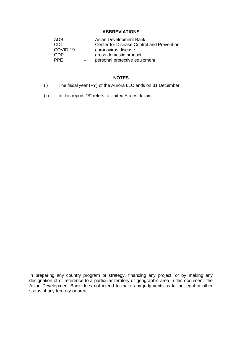### **ABBREVIATIONS**

| ADB        |                          | Asian Development Bank                           |
|------------|--------------------------|--------------------------------------------------|
| CDC.       | $-$                      | <b>Center for Disease Control and Prevention</b> |
| COVID-19   | $\overline{\phantom{0}}$ | coronavirus disease                              |
| GDP        | $\sim$                   | gross domestic product                           |
| <b>PPF</b> | $-$                      | personal protective equipment                    |

## **NOTES**

- (i) The fiscal year (FY) of the Aurora LLC ends on 31 December.
- (ii) In this report, "\$" refers to United States dollars.

In preparing any country program or strategy, financing any project, or by making any designation of or reference to a particular territory or geographic area in this document, the Asian Development Bank does not intend to make any judgments as to the legal or other status of any territory or area.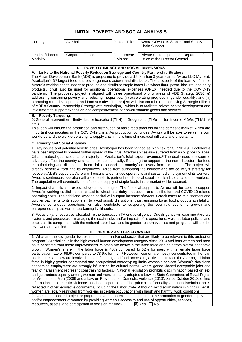## **INITIAL POVERTY AND SOCIAL ANALYSIS**

| Country:          | Azerbaijan        | Project Title: | Avrora COVID-19 Staple Food Supply<br>Chain Support |
|-------------------|-------------------|----------------|-----------------------------------------------------|
| Lending/Financing | Corporate Finance | Department/    | Private Sector Operations Department/               |
| Modality:         |                   | Division:      | Office of the Director General                      |

#### **I. POVERTY IMPACT AND SOCIAL DIMENSIONS A. Links to the National Poverty Reduction Strategy and Country Partnership Strategy** The Asian Development Bank (ADB) is proposing to provide a \$5.9 million 3-year loan to Avrora LLC (Avrora), Azerbaijan's 3<sup>rd</sup> largest food and beverage manufacturer and distributor. The proceeds of the loan will finance Avrora's working capital needs to produce and distribute staple foods like wheat flour, pasta, biscuits, and dairy products. It will also be used for additional operational expenses (OPEX) needed due to the COVID-19 pandemic. The proposed project is aligned with three operational priority areas of ADB Strategy 2030: (i) addressing remaining poverty and reducing inequalities, (ii) accelerating progress in gender equality, and (iii) promoting rural development and food security.ª The project will also contribute to achieving Strategic Pillar 1 of ADB's Country Partnership Strategy with Azerbaijan,<sup>b</sup> which is to facilitate private sector development and investment to support expansion and competitiveness of non-oil tradable goods and services.

#### **B. Poverty Targeting**:

General intervention Individual or household (TI-H) Geographic (TI-G) Non-income MDGs (TI-M1, M2, etc.)

This loan will ensure the production and distribution of basic food products for the domestic market, which are important commodities in the COVID-19 crisis. As production continues, Avrora will be able to retain its own workforce and the workforce along its supply chain in this time of increased difficulty and uncertainty.

#### **C. Poverty and Social Analysis**

1. Key issues and potential beneficiaries. Azerbaijan has been tagged as high risk for COVID-19.<sup>c</sup> Lockdowns have been imposed to prevent further spread of the virus. Azerbaijan has also suffered from an oil price collapse. Oil and natural gas accounts for majority of Azerbaijan's total export revenues. <sup>d</sup> The dual crises are seen to adversely affect the country and its people economically. Ensuring the support to the non-oil sector, like food manufacturing and distribution, is crucial to support the country's recovery from this slump. The project will directly benefit Avrora and its employees. Aside from supporting the industry and the country's strategy for recovery, ADB's support to Avrora will ensure its continued operations and sustained employment of its workers. Avrora's continuous operation will also benefit its partner brands, local suppliers, distributors, and their workers. The population will eventually benefit as the supply of staple foods in the market will be secured.

2. Impact channels and expected systemic changes. The financial support to Avrora will be used to support Avrora's working capital needs related to wheat and dairy production and distribution and COVID-19-related operating costs. The additional working capital will support increase ofAvrora's credit terms to its customers and quicker payments to its suppliers, to avoid supply disruptions, thus, ensuring basic food products availability. Avrora's continuous operations will also contribute to supporting the country's economic growth and entrepreneurship as well as sustaining livelihoods.

3. Focus of (and resources allocated in) the transaction TA or due diligence. Due diligence will examine Avrora's systems and processes in managing the social risks and/or impacts of its operations. Avrora's labor policies and practices, its compliance with the national labor laws, and its gender-responsiveness and programs will also be reviewed and verified.

### **II. GENDER AND DEVELOPMENT**

1. What are the key gender issues in the sector and/or subsector that are likely to be relevant to this project or program? Azerbaijan is in the high overall human development category since 2010 and both women and men have benefited from these improvements. Women are active in the labor force and gain from overall economic growth. Women's share in the labor force is 48% compared to 52% for men, with a female labor force participation rate of 68.6% compared to 73.9% for men.<sup>e</sup> However, women are mostly concentrated in the lowpaid sectors and few are involved in manufacturing and food processing activities.<sup>f</sup> In fact, the Azerbaijani labor force is highly gender-segregated and occupational stereotyping limits women's choices. Women's decisions concerning employment are strongly influenced by cultural norms, where gender-based acceptable jobs and fear of harassment represent constraining factors.<sup>9</sup> National legislation prohibits discrimination based on sex and guarantees equality among women and men, it notably adopted a Law on State Guarantees of Equal Rights for Women and Men (2006) and a Law on Prevention of Domestic Violence (2010). Since October 2018, online information on domestic violence has been operational. The principle of equality and nondiscrimination is reflected in other legislative documents, including the Labor Code. Although sex discrimination in hiring is illegal, women are legally restricted from working in certain occupations with harsh and harmful work conditions.<sup>h</sup> 2. Does the proposed project or program have the potential to contribute to the promotion of gender equity and/or empowerment of women by providing women's access to and use of opportunities, services, resources, assets, and participation in decision making?  $\boxtimes$  Yes  $\Box$  No resources, assets, and participation in decision making?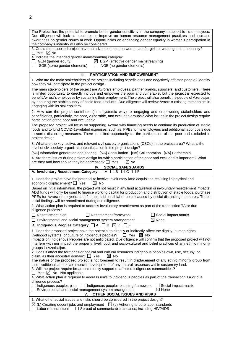| The Project has the potential to promote better gender sensitivity in the company's support to its employees.                                                                                                                                                                                                                                                                                                                                                                                            |
|----------------------------------------------------------------------------------------------------------------------------------------------------------------------------------------------------------------------------------------------------------------------------------------------------------------------------------------------------------------------------------------------------------------------------------------------------------------------------------------------------------|
| Due diligence will look at measures to improve on human resource management practices and increase<br>awareness on gender issues at work. Opportunities on enhancing gender equality in women's participation in                                                                                                                                                                                                                                                                                         |
| the company's industry will also be considered.                                                                                                                                                                                                                                                                                                                                                                                                                                                          |
| 3. Could the proposed project have an adverse impact on women and/or girls or widen gender inequality?<br>$\Box$ Yes $\boxtimes$ No                                                                                                                                                                                                                                                                                                                                                                      |
| 4. Indicate the intended gender mainstreaming category:<br>$\boxtimes$ EGM (effective gender mainstreaming)<br>$\Box$ GEN (gender equity)                                                                                                                                                                                                                                                                                                                                                                |
| $\Box$ SGE (some gender elements)<br>NGE (no gender elements)<br>$\Box$                                                                                                                                                                                                                                                                                                                                                                                                                                  |
|                                                                                                                                                                                                                                                                                                                                                                                                                                                                                                          |
| <b>PARTICIPATION AND EMPOWERMENT</b><br>Ш.                                                                                                                                                                                                                                                                                                                                                                                                                                                               |
| 1. Who are the main stakeholders of the project, including beneficiaries and negatively affected people? Identify<br>how they will participate in the project design.                                                                                                                                                                                                                                                                                                                                    |
| The main stakeholders of the project are Avrora's employees, partner brands, suppliers, and customers. There<br>is limited opportunity to directly include and empower the poor and vulnerable, but the project is expected to<br>benefit Avrora's employees by sustaining their employment. The project will also benefit the people of Azerbaijan<br>by ensuring the stable supply of basic food products. Due diligence will review Avrora's existing mechanism in<br>engaging with its stakeholders. |
| 2. How can the project contribute (in a systemic way) to engaging and empowering stakeholders and<br>beneficiaries, particularly, the poor, vulnerable, and excluded groups? What issues in the project design require<br>participation of the poor and excluded?                                                                                                                                                                                                                                        |
| The proposed project will focus on supporting Avrora with financing needs to continue its production of staple<br>foods and to fund COVID-19-related expenses, such as, PPEs for its employees and additional labor costs due<br>to social distancing measures. There is limited opportunity for the participation of the poor and excluded in<br>project design.                                                                                                                                        |
| 3. What are the key, active, and relevant civil society organizations (CSOs) in the project area? What is the<br>level of civil society organization participation in the project design?                                                                                                                                                                                                                                                                                                                |
| [NA] Information generation and sharing [NA] Consultation [NA] Collaboration [NA] Partnership                                                                                                                                                                                                                                                                                                                                                                                                            |
| 4. Are there issues during project design for which participation of the poor and excluded is important? What<br>are they and how should they be addressed? $\Box$ Yes<br>$\boxtimes$ No                                                                                                                                                                                                                                                                                                                 |
| IV.<br><b>SOCIAL SAFEGUARDS</b>                                                                                                                                                                                                                                                                                                                                                                                                                                                                          |
| A. Involuntary Resettlement Category $\Box A \Box B \boxtimes C \Box F$                                                                                                                                                                                                                                                                                                                                                                                                                                  |
|                                                                                                                                                                                                                                                                                                                                                                                                                                                                                                          |
| 1. Does the project have the potential to involve involuntary land acquisition resulting in physical and<br>economic displacement? $\Box$ Yes<br>$\boxtimes$ No                                                                                                                                                                                                                                                                                                                                          |
| Based on initial information, the project will not result in any land acquisition or involuntary resettlement impacts.<br>ADB funds will only be used to finance working capital for production and distribution of staple foods, purchase<br>PPEs for Avrora employees, and finance additional labor costs caused by social distancing measures. These                                                                                                                                                  |
| initial findings will be reconfirmed during due diligence.<br>2. What action plan is required to address involuntary resettlement as part of the transaction TA or due                                                                                                                                                                                                                                                                                                                                   |
| diligence process?<br>$\Box$ Social impact matrix<br>$\Box$ Resettlement plan<br>$\Box$ Resettlement framework                                                                                                                                                                                                                                                                                                                                                                                           |
| $\boxtimes$ None<br>$\Box$ Environmental and social management system arrangement                                                                                                                                                                                                                                                                                                                                                                                                                        |
| B. Indigenous Peoples Category $\Box A \Box B \boxtimes C \Box F1$                                                                                                                                                                                                                                                                                                                                                                                                                                       |
| 1. Does the proposed project have the potential to directly or indirectly affect the dignity, human rights,<br>livelihood systems, or culture of indigenous peoples?<br>$\Box$ Yes<br>$\boxtimes$ No<br>Impacts on Indigenous Peoples are not anticipated. Due diligence will confirm that the proposed project will not<br>interfere with nor impact the property, livelihood, and socio-cultural and belief practices of any ethnic minority                                                           |
| groups in Azerbaijan.<br>2. Does it affect the territories or natural and cultural resources indigenous peoples own, use, occupy, or<br>claim, as their ancestral domain? $\Box$ Yes<br>$\boxtimes$ No                                                                                                                                                                                                                                                                                                   |
| The nature of the proposed project is not foreseen to result in displacement of any ethnic minority group from<br>their traditional land or commercial development of any natural resources within customary land.<br>3. Will the project require broad community support of affected indigenous communities?                                                                                                                                                                                            |
| $\Box$ Yes $\boxtimes$ No Not applicable<br>4. What action plan is required to address risks to indigenous peoples as part of the transaction TA or due                                                                                                                                                                                                                                                                                                                                                  |
| diligence process?<br>$\Box$ Indigenous peoples plan<br>$\Box$ Indigenous peoples planning framework<br>Social impact matrix<br>$\boxtimes$ None<br>Environmental and social management system arrangement<br>OTHER SOCIAL ISSUES AND RISKS<br>۷.                                                                                                                                                                                                                                                        |
| 1. What other social issues and risks should be considered in the project design?                                                                                                                                                                                                                                                                                                                                                                                                                        |